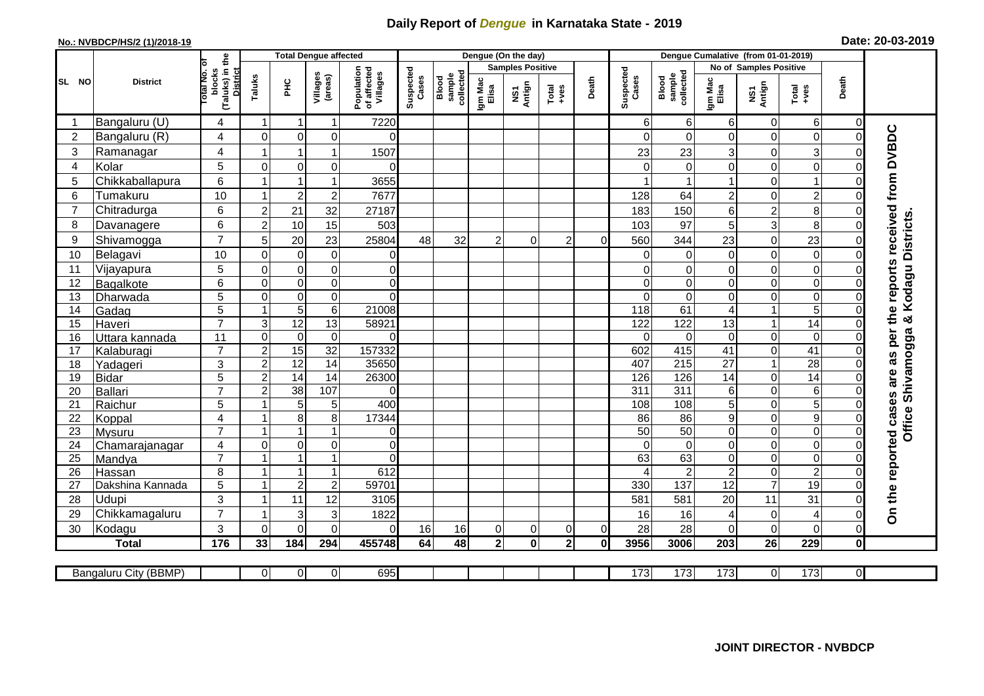## **Daily Report of** *Dengue* **in Karnataka State - 2019**

## **No.: NVBDCP/HS/2 (1)/2018-19 Date: 20-03-2019**

|                 | <b>District</b>       |                                                      | <b>Total Dengue affected</b> |                     |                                       |                    |                              |                  |                         | Dengue (On the day) |                |                    |                              |                                                                |                        |                |                         |                |                                            |
|-----------------|-----------------------|------------------------------------------------------|------------------------------|---------------------|---------------------------------------|--------------------|------------------------------|------------------|-------------------------|---------------------|----------------|--------------------|------------------------------|----------------------------------------------------------------|------------------------|----------------|-------------------------|----------------|--------------------------------------------|
|                 |                       |                                                      |                              |                     |                                       |                    |                              |                  | <b>Samples Positive</b> |                     |                |                    |                              |                                                                | No of Samples Positive |                |                         |                |                                            |
| SL NO           |                       | (Taluks) in the<br>District<br>otal No. of<br>blocks | Taluks<br>Ξ                  | Villages<br>(areas) | Population<br>of affected<br>Villages | Suspected<br>Cases | sample<br>collected<br>Blood | Igm Mac<br>Elisa | NS1<br>Antign           | $Total$             | Death          | Suspected<br>Cases | collected<br>sample<br>Blood | Death<br>Igm Mac<br>Elisa<br>NS1<br>Antign<br>$Tota$<br>$+ves$ |                        |                |                         |                |                                            |
|                 | Bangaluru (U)         | 4                                                    | -1                           | -1                  | 1                                     | 7220               |                              |                  |                         |                     |                |                    | 6                            | 6                                                              | 6                      | 0              | 6                       | 0              |                                            |
| $\overline{2}$  | Bangaluru (R)         | 4                                                    | $\mathbf 0$                  | $\mathbf 0$         | $\mathbf 0$                           | $\Omega$           |                              |                  |                         |                     |                |                    | $\Omega$                     | $\mathbf 0$                                                    | 0                      | 0              | $\mathsf{O}\xspace$     | $\mathbf 0$    |                                            |
| 3               | Ramanagar             | 4                                                    |                              |                     | 1                                     | 1507               |                              |                  |                         |                     |                |                    | 23                           | 23                                                             | 3                      | 0              | $\overline{3}$          | $\Omega$       | are as per the reports received from DVBDC |
| $\overline{4}$  | Kolar                 | 5                                                    | $\mathbf 0$                  | $\mathbf 0$         | $\overline{0}$                        | $\Omega$           |                              |                  |                         |                     |                |                    | $\Omega$                     | $\mathbf 0$                                                    | $\Omega$               | $\mathbf 0$    | $\overline{0}$          | $\mathbf 0$    |                                            |
| 5               | Chikkaballapura       | $6\phantom{1}$                                       | 1                            |                     | 1                                     | 3655               |                              |                  |                         |                     |                |                    |                              |                                                                |                        | 0              | $\mathbf{1}$            | $\mathbf 0$    |                                            |
| 6               | Tumakuru              | 10                                                   |                              | $\overline{2}$      | $\mathbf 2$                           | 7677               |                              |                  |                         |                     |                |                    | 128                          | 64                                                             | $\overline{c}$         | 0              | $\overline{c}$          | $\Omega$       |                                            |
| $\overline{7}$  | Chitradurga           | $6\phantom{1}$                                       | $\overline{2}$               | 21                  | 32                                    | 27187              |                              |                  |                         |                     |                |                    | 183                          | 150                                                            | 6                      | $\overline{c}$ | $\,8\,$                 | $\Omega$       |                                            |
| 8               | Davanagere            | $6\phantom{1}$                                       | $\overline{2}$               | 10                  | 15                                    | 503                |                              |                  |                         |                     |                |                    | 103                          | 97                                                             | 5                      | 3              | 8                       | $\Omega$       |                                            |
| 9               | Shivamogga            | $\overline{7}$                                       | 5                            | 20                  | 23                                    | 25804              | 48                           | 32               | $\overline{2}$          | 0                   | $\overline{2}$ | $\Omega$           | 560                          | 344                                                            | 23                     | 0              | 23                      | $\Omega$       | Kodagu Districts                           |
| 10              | Belagavi              | 10                                                   | $\mathbf 0$                  | $\mathbf 0$         | $\mathbf 0$                           | 0                  |                              |                  |                         |                     |                |                    | $\Omega$                     | $\Omega$                                                       | $\mathbf 0$            | 0              | $\mathbf 0$             | $\Omega$       |                                            |
| 11              | Vijayapura            | 5                                                    | $\mathbf 0$                  | $\pmb{0}$           | $\mathsf 0$                           | $\mathbf 0$        |                              |                  |                         |                     |                |                    | 0                            | 0                                                              | 0                      | 0              | $\overline{\mathbf{0}}$ | 0              |                                            |
| 12              | Bagalkote             | $6\phantom{1}$                                       | $\mathbf 0$                  | $\mathbf 0$         | $\mathsf 0$                           | $\Omega$           |                              |                  |                         |                     |                |                    | $\Omega$                     | $\Omega$                                                       | $\Omega$               | $\mathbf 0$    | $\overline{0}$          | $\mathbf 0$    |                                            |
| 13              | Dharwada              | $\overline{5}$                                       | $\mathbf 0$                  | $\pmb{0}$           | $\overline{0}$                        | $\Omega$           |                              |                  |                         |                     |                |                    | $\Omega$                     | $\mathbf 0$                                                    | 0                      | 0              | $\overline{0}$          | $\overline{0}$ |                                            |
| 14              | Gadag                 | 5                                                    |                              | $\overline{5}$      | 6                                     | 21008              |                              |                  |                         |                     |                |                    | 118                          | 61                                                             | 4                      | 1              | 5                       | $\Omega$       |                                            |
| 15              | Haveri                | $\overline{7}$                                       | 3                            | 12                  | $\overline{13}$                       | 58921              |                              |                  |                         |                     |                |                    | 122                          | 122                                                            | 13                     | 1              | 14                      | $\Omega$       | ×                                          |
| 16              | Uttara kannada        | 11                                                   | $\mathbf 0$                  | $\mathbf 0$         | $\mathbf 0$                           | $\Omega$           |                              |                  |                         |                     |                |                    | $\Omega$                     | $\mathbf 0$                                                    | $\mathbf 0$            | 0              | $\overline{0}$          | $\Omega$       | Shivamogga                                 |
| 17              | Kalaburagi            | $\overline{7}$                                       | $\overline{c}$               | 15                  | $\overline{32}$                       | 157332             |                              |                  |                         |                     |                |                    | 602                          | 415                                                            | 41                     | 0              | 41                      | $\Omega$       |                                            |
| 18              | Yadageri              | 3                                                    | $\overline{2}$               | $\overline{12}$     | 14                                    | 35650              |                              |                  |                         |                     |                |                    | 407                          | $\overline{215}$                                               | 27                     | $\mathbf{1}$   | 28                      | $\Omega$       |                                            |
| 19              | Bidar                 | 5                                                    | $\overline{2}$               | 14                  | 14                                    | 26300              |                              |                  |                         |                     |                |                    | 126                          | 126                                                            | 14                     | 0              | 14                      | $\mathbf 0$    |                                            |
| 20              | Ballari               | $\overline{7}$                                       | $\overline{2}$               | 38                  | 107                                   | $\Omega$           |                              |                  |                         |                     |                |                    | $\overline{311}$             | 311                                                            | 6                      | 0              | $\sigma$                | $\Omega$       |                                            |
| 21              | Raichur               | 5                                                    |                              | 5                   | 5                                     | 400                |                              |                  |                         |                     |                |                    | 108                          | 108                                                            | 5                      | 0              | $\overline{5}$          | $\mathbf 0$    |                                            |
| 22              | Koppal                | $\overline{4}$                                       |                              | 8                   | 8                                     | 17344              |                              |                  |                         |                     |                |                    | 86                           | 86                                                             | 9                      | $\mathbf 0$    | $\overline{9}$          | $\overline{0}$ |                                            |
| 23              | <b>Mysuru</b>         | $\overline{7}$                                       |                              | 1                   | 1                                     | 0                  |                              |                  |                         |                     |                |                    | $\overline{50}$              | 50                                                             | $\overline{O}$         | 0              | $\overline{0}$          | $\mathbf 0$    | Office                                     |
| 24              | Chamarajanagar        | $\overline{4}$                                       | $\mathbf 0$                  | $\overline{0}$      | 0                                     | $\overline{0}$     |                              |                  |                         |                     |                |                    | $\Omega$                     | $\overline{0}$                                                 | $\mathbf 0$            | 0              | $\overline{0}$          | $\mathbf 0$    |                                            |
| $\overline{25}$ | Mandya                | $\overline{7}$                                       |                              |                     | $\mathbf{1}$                          | $\Omega$           |                              |                  |                         |                     |                |                    | 63                           | 63                                                             | 0                      | 0              | $\overline{0}$          | 0              |                                            |
| 26              | Hassan                | 8                                                    | $\overline{\mathbf{1}}$      | $\overline{1}$      | $\overline{1}$                        | 612                |                              |                  |                         |                     |                |                    |                              | $\overline{2}$                                                 | $\overline{c}$         | 0              | $\overline{2}$          | $\mathbf 0$    |                                            |
| 27              | Dakshina Kannada      | $\overline{5}$                                       | $\overline{\mathbf{1}}$      | $\sqrt{2}$          | $\overline{2}$                        | 59701              |                              |                  |                         |                     |                |                    | 330                          | 137                                                            | $\overline{12}$        | $\overline{7}$ | 19                      | $\mathbf 0$    |                                            |
| 28              | <b>Udupi</b>          | 3                                                    |                              | 11                  | 12                                    | 3105               |                              |                  |                         |                     |                |                    | 581                          | 581                                                            | 20                     | 11             | 31                      | $\Omega$       | On the reported cases                      |
| 29              | Chikkamagaluru        | $\overline{7}$                                       |                              | 3                   | 3                                     | 1822               |                              |                  |                         |                     |                |                    | 16                           | 16                                                             | 4                      | 0              | $\overline{4}$          | $\Omega$       |                                            |
| 30              | Kodagu                | 3                                                    | $\Omega$                     | $\Omega$            | $\Omega$                              | $\Omega$           | 16                           | 16               | 0                       | 0                   | 0              | $\overline{0}$     | 28                           | 28                                                             | $\Omega$               | $\mathbf 0$    | $\mathbf 0$             | $\Omega$       |                                            |
|                 | <b>Total</b>          | 176                                                  | 33                           | 184                 | 294                                   | 455748             | 64                           | $\overline{48}$  | $\overline{2}$          | $\mathbf 0$         | 2 <sup>1</sup> | 0                  | 3956                         | 3006                                                           | 203                    | 26             | 229                     | $\mathbf 0$    |                                            |
|                 | Bangaluru City (BBMP) |                                                      | $\overline{0}$               | $\overline{0}$      | $\overline{0}$                        | 695                |                              |                  |                         |                     |                |                    | 173                          | $\overline{173}$                                               | 173                    | 0              | 173                     | $\overline{0}$ |                                            |